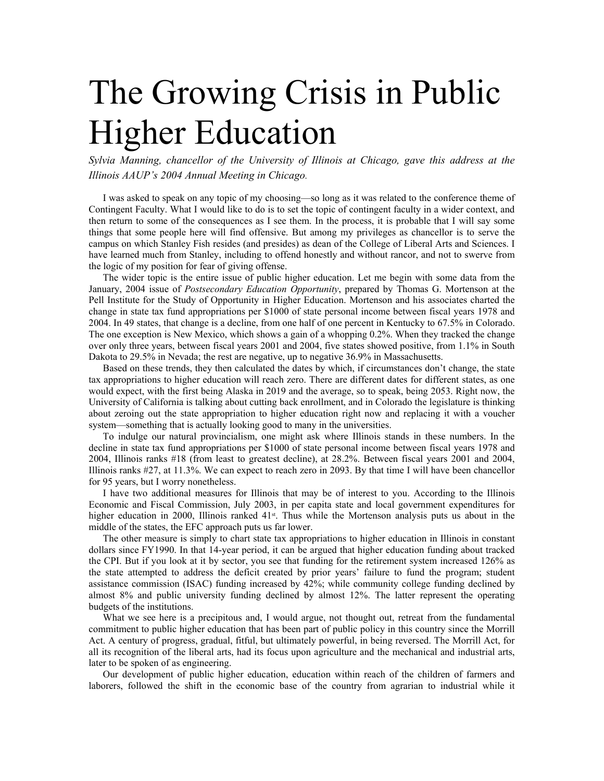## The Growing Crisis in Public Higher Education

*Sylvia Manning, chancellor of the University of Illinois at Chicago, gave this address at the Illinois AAUP's 2004 Annual Meeting in Chicago.*

I was asked to speak on any topic of my choosing—so long as it was related to the conference theme of Contingent Faculty. What I would like to do is to set the topic of contingent faculty in a wider context, and then return to some of the consequences as I see them. In the process, it is probable that I will say some things that some people here will find offensive. But among my privileges as chancellor is to serve the campus on which Stanley Fish resides (and presides) as dean of the College of Liberal Arts and Sciences. I have learned much from Stanley, including to offend honestly and without rancor, and not to swerve from the logic of my position for fear of giving offense.

The wider topic is the entire issue of public higher education. Let me begin with some data from the January, 2004 issue of *Postsecondary Education Opportunity*, prepared by Thomas G. Mortenson at the Pell Institute for the Study of Opportunity in Higher Education. Mortenson and his associates charted the change in state tax fund appropriations per \$1000 of state personal income between fiscal years 1978 and 2004. In 49 states, that change is a decline, from one half of one percent in Kentucky to 67.5% in Colorado. The one exception is New Mexico, which shows a gain of a whopping 0.2%. When they tracked the change over only three years, between fiscal years 2001 and 2004, five states showed positive, from 1.1% in South Dakota to 29.5% in Nevada; the rest are negative, up to negative 36.9% in Massachusetts.

Based on these trends, they then calculated the dates by which, if circumstances don't change, the state tax appropriations to higher education will reach zero. There are different dates for different states, as one would expect, with the first being Alaska in 2019 and the average, so to speak, being 2053. Right now, the University of California is talking about cutting back enrollment, and in Colorado the legislature is thinking about zeroing out the state appropriation to higher education right now and replacing it with a voucher system—something that is actually looking good to many in the universities.

To indulge our natural provincialism, one might ask where Illinois stands in these numbers. In the decline in state tax fund appropriations per \$1000 of state personal income between fiscal years 1978 and 2004, Illinois ranks #18 (from least to greatest decline), at 28.2%. Between fiscal years 2001 and 2004, Illinois ranks #27, at 11.3%. We can expect to reach zero in 2093. By that time I will have been chancellor for 95 years, but I worry nonetheless.

I have two additional measures for Illinois that may be of interest to you. According to the Illinois Economic and Fiscal Commission, July 2003, in per capita state and local government expenditures for higher education in 2000, Illinois ranked  $41<sup>st</sup>$ . Thus while the Mortenson analysis puts us about in the middle of the states, the EFC approach puts us far lower.

The other measure is simply to chart state tax appropriations to higher education in Illinois in constant dollars since FY1990. In that 14-year period, it can be argued that higher education funding about tracked the CPI. But if you look at it by sector, you see that funding for the retirement system increased 126% as the state attempted to address the deficit created by prior years' failure to fund the program; student assistance commission (ISAC) funding increased by 42%; while community college funding declined by almost 8% and public university funding declined by almost 12%. The latter represent the operating budgets of the institutions.

What we see here is a precipitous and, I would argue, not thought out, retreat from the fundamental commitment to public higher education that has been part of public policy in this country since the Morrill Act. A century of progress, gradual, fitful, but ultimately powerful, in being reversed. The Morrill Act, for all its recognition of the liberal arts, had its focus upon agriculture and the mechanical and industrial arts, later to be spoken of as engineering.

Our development of public higher education, education within reach of the children of farmers and laborers, followed the shift in the economic base of the country from agrarian to industrial while it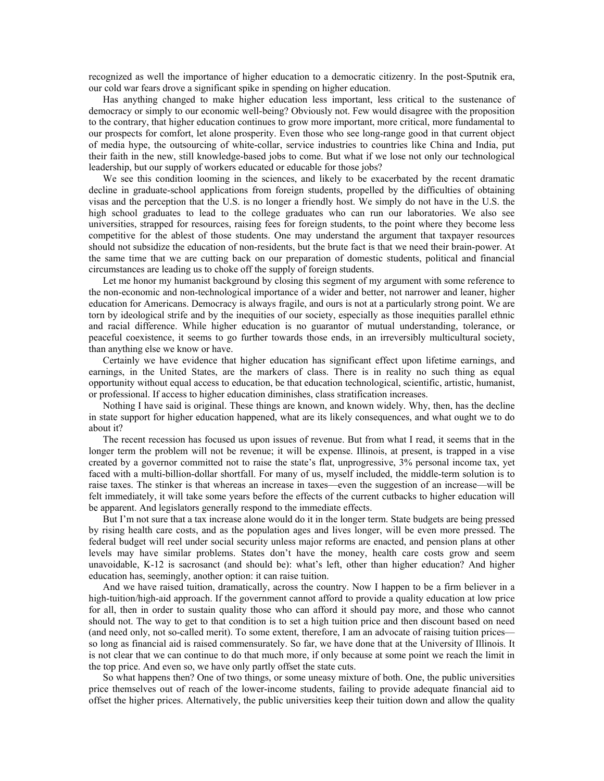recognized as well the importance of higher education to a democratic citizenry. In the post-Sputnik era, our cold war fears drove a significant spike in spending on higher education.

Has anything changed to make higher education less important, less critical to the sustenance of democracy or simply to our economic well-being? Obviously not. Few would disagree with the proposition to the contrary, that higher education continues to grow more important, more critical, more fundamental to our prospects for comfort, let alone prosperity. Even those who see long-range good in that current object of media hype, the outsourcing of white-collar, service industries to countries like China and India, put their faith in the new, still knowledge-based jobs to come. But what if we lose not only our technological leadership, but our supply of workers educated or educable for those jobs?

We see this condition looming in the sciences, and likely to be exacerbated by the recent dramatic decline in graduate-school applications from foreign students, propelled by the difficulties of obtaining visas and the perception that the U.S. is no longer a friendly host. We simply do not have in the U.S. the high school graduates to lead to the college graduates who can run our laboratories. We also see universities, strapped for resources, raising fees for foreign students, to the point where they become less competitive for the ablest of those students. One may understand the argument that taxpayer resources should not subsidize the education of non-residents, but the brute fact is that we need their brain-power. At the same time that we are cutting back on our preparation of domestic students, political and financial circumstances are leading us to choke off the supply of foreign students.

Let me honor my humanist background by closing this segment of my argument with some reference to the non-economic and non-technological importance of a wider and better, not narrower and leaner, higher education for Americans. Democracy is always fragile, and ours is not at a particularly strong point. We are torn by ideological strife and by the inequities of our society, especially as those inequities parallel ethnic and racial difference. While higher education is no guarantor of mutual understanding, tolerance, or peaceful coexistence, it seems to go further towards those ends, in an irreversibly multicultural society, than anything else we know or have.

Certainly we have evidence that higher education has significant effect upon lifetime earnings, and earnings, in the United States, are the markers of class. There is in reality no such thing as equal opportunity without equal access to education, be that education technological, scientific, artistic, humanist, or professional. If access to higher education diminishes, class stratification increases.

Nothing I have said is original. These things are known, and known widely. Why, then, has the decline in state support for higher education happened, what are its likely consequences, and what ought we to do about it?

The recent recession has focused us upon issues of revenue. But from what I read, it seems that in the longer term the problem will not be revenue; it will be expense. Illinois, at present, is trapped in a vise created by a governor committed not to raise the state's flat, unprogressive, 3% personal income tax, yet faced with a multi-billion-dollar shortfall. For many of us, myself included, the middle-term solution is to raise taxes. The stinker is that whereas an increase in taxes—even the suggestion of an increase—will be felt immediately, it will take some years before the effects of the current cutbacks to higher education will be apparent. And legislators generally respond to the immediate effects.

But I'm not sure that a tax increase alone would do it in the longer term. State budgets are being pressed by rising health care costs, and as the population ages and lives longer, will be even more pressed. The federal budget will reel under social security unless major reforms are enacted, and pension plans at other levels may have similar problems. States don't have the money, health care costs grow and seem unavoidable, K-12 is sacrosanct (and should be): what's left, other than higher education? And higher education has, seemingly, another option: it can raise tuition.

And we have raised tuition, dramatically, across the country. Now I happen to be a firm believer in a high-tuition/high-aid approach. If the government cannot afford to provide a quality education at low price for all, then in order to sustain quality those who can afford it should pay more, and those who cannot should not. The way to get to that condition is to set a high tuition price and then discount based on need (and need only, not so-called merit). To some extent, therefore, I am an advocate of raising tuition prices so long as financial aid is raised commensurately. So far, we have done that at the University of Illinois. It is not clear that we can continue to do that much more, if only because at some point we reach the limit in the top price. And even so, we have only partly offset the state cuts.

So what happens then? One of two things, or some uneasy mixture of both. One, the public universities price themselves out of reach of the lower-income students, failing to provide adequate financial aid to offset the higher prices. Alternatively, the public universities keep their tuition down and allow the quality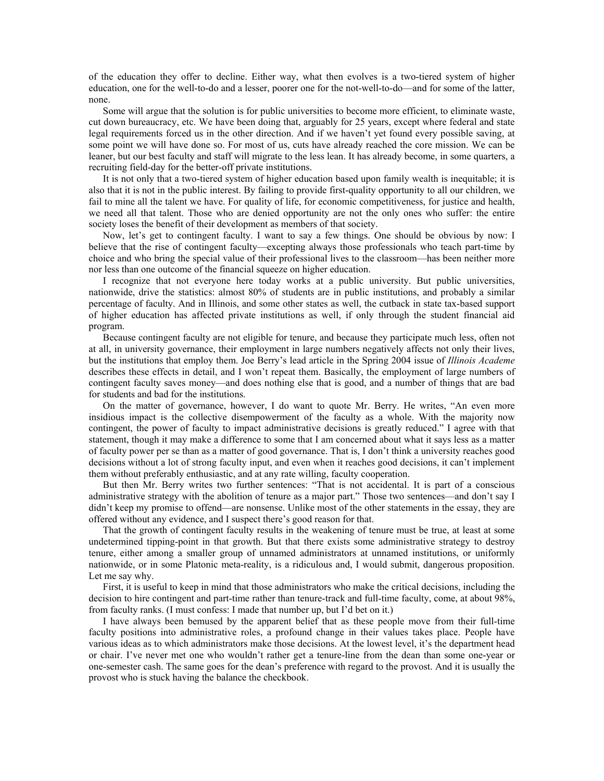of the education they offer to decline. Either way, what then evolves is a two-tiered system of higher education, one for the well-to-do and a lesser, poorer one for the not-well-to-do—and for some of the latter, none.

Some will argue that the solution is for public universities to become more efficient, to eliminate waste, cut down bureaucracy, etc. We have been doing that, arguably for 25 years, except where federal and state legal requirements forced us in the other direction. And if we haven't yet found every possible saving, at some point we will have done so. For most of us, cuts have already reached the core mission. We can be leaner, but our best faculty and staff will migrate to the less lean. It has already become, in some quarters, a recruiting field-day for the better-off private institutions.

It is not only that a two-tiered system of higher education based upon family wealth is inequitable; it is also that it is not in the public interest. By failing to provide first-quality opportunity to all our children, we fail to mine all the talent we have. For quality of life, for economic competitiveness, for justice and health, we need all that talent. Those who are denied opportunity are not the only ones who suffer: the entire society loses the benefit of their development as members of that society.

Now, let's get to contingent faculty. I want to say a few things. One should be obvious by now: I believe that the rise of contingent faculty—excepting always those professionals who teach part-time by choice and who bring the special value of their professional lives to the classroom—has been neither more nor less than one outcome of the financial squeeze on higher education.

I recognize that not everyone here today works at a public university. But public universities, nationwide, drive the statistics: almost 80% of students are in public institutions, and probably a similar percentage of faculty. And in Illinois, and some other states as well, the cutback in state tax-based support of higher education has affected private institutions as well, if only through the student financial aid program.

Because contingent faculty are not eligible for tenure, and because they participate much less, often not at all, in university governance, their employment in large numbers negatively affects not only their lives, but the institutions that employ them. Joe Berry's lead article in the Spring 2004 issue of *Illinois Academe* describes these effects in detail, and I won't repeat them. Basically, the employment of large numbers of contingent faculty saves money—and does nothing else that is good, and a number of things that are bad for students and bad for the institutions.

On the matter of governance, however, I do want to quote Mr. Berry. He writes, "An even more insidious impact is the collective disempowerment of the faculty as a whole. With the majority now contingent, the power of faculty to impact administrative decisions is greatly reduced." I agree with that statement, though it may make a difference to some that I am concerned about what it says less as a matter of faculty power per se than as a matter of good governance. That is, I don't think a university reaches good decisions without a lot of strong faculty input, and even when it reaches good decisions, it can't implement them without preferably enthusiastic, and at any rate willing, faculty cooperation.

But then Mr. Berry writes two further sentences: "That is not accidental. It is part of a conscious administrative strategy with the abolition of tenure as a major part." Those two sentences—and don't say I didn't keep my promise to offend—are nonsense. Unlike most of the other statements in the essay, they are offered without any evidence, and I suspect there's good reason for that.

That the growth of contingent faculty results in the weakening of tenure must be true, at least at some undetermined tipping-point in that growth. But that there exists some administrative strategy to destroy tenure, either among a smaller group of unnamed administrators at unnamed institutions, or uniformly nationwide, or in some Platonic meta-reality, is a ridiculous and, I would submit, dangerous proposition. Let me say why.

First, it is useful to keep in mind that those administrators who make the critical decisions, including the decision to hire contingent and part-time rather than tenure-track and full-time faculty, come, at about 98%, from faculty ranks. (I must confess: I made that number up, but I'd bet on it.)

I have always been bemused by the apparent belief that as these people move from their full-time faculty positions into administrative roles, a profound change in their values takes place. People have various ideas as to which administrators make those decisions. At the lowest level, it's the department head or chair. I've never met one who wouldn't rather get a tenure-line from the dean than some one-year or one-semester cash. The same goes for the dean's preference with regard to the provost. And it is usually the provost who is stuck having the balance the checkbook.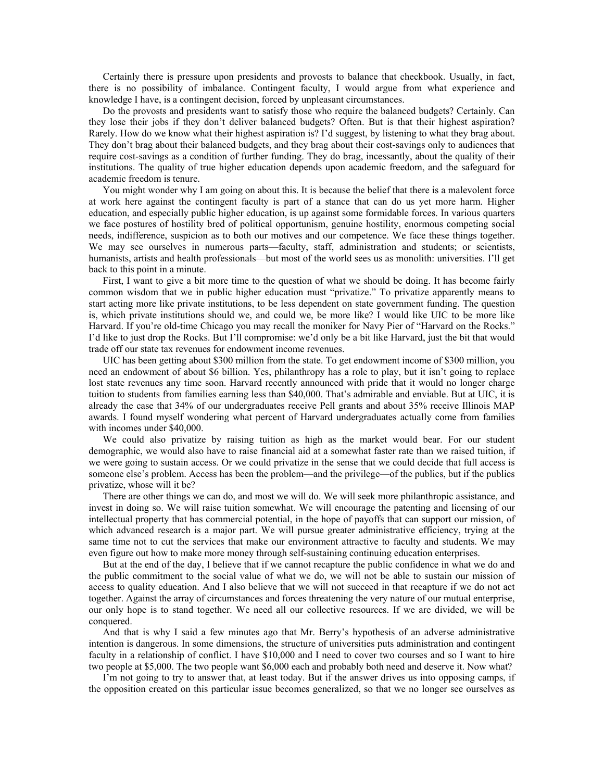Certainly there is pressure upon presidents and provosts to balance that checkbook. Usually, in fact, there is no possibility of imbalance. Contingent faculty, I would argue from what experience and knowledge I have, is a contingent decision, forced by unpleasant circumstances.

Do the provosts and presidents want to satisfy those who require the balanced budgets? Certainly. Can they lose their jobs if they don't deliver balanced budgets? Often. But is that their highest aspiration? Rarely. How do we know what their highest aspiration is? I'd suggest, by listening to what they brag about. They don't brag about their balanced budgets, and they brag about their cost-savings only to audiences that require cost-savings as a condition of further funding. They do brag, incessantly, about the quality of their institutions. The quality of true higher education depends upon academic freedom, and the safeguard for academic freedom is tenure.

You might wonder why I am going on about this. It is because the belief that there is a malevolent force at work here against the contingent faculty is part of a stance that can do us yet more harm. Higher education, and especially public higher education, is up against some formidable forces. In various quarters we face postures of hostility bred of political opportunism, genuine hostility, enormous competing social needs, indifference, suspicion as to both our motives and our competence. We face these things together. We may see ourselves in numerous parts—faculty, staff, administration and students; or scientists, humanists, artists and health professionals—but most of the world sees us as monolith: universities. I'll get back to this point in a minute.

First, I want to give a bit more time to the question of what we should be doing. It has become fairly common wisdom that we in public higher education must "privatize." To privatize apparently means to start acting more like private institutions, to be less dependent on state government funding. The question is, which private institutions should we, and could we, be more like? I would like UIC to be more like Harvard. If you're old-time Chicago you may recall the moniker for Navy Pier of "Harvard on the Rocks." I'd like to just drop the Rocks. But I'll compromise: we'd only be a bit like Harvard, just the bit that would trade off our state tax revenues for endowment income revenues.

UIC has been getting about \$300 million from the state. To get endowment income of \$300 million, you need an endowment of about \$6 billion. Yes, philanthropy has a role to play, but it isn't going to replace lost state revenues any time soon. Harvard recently announced with pride that it would no longer charge tuition to students from families earning less than \$40,000. That's admirable and enviable. But at UIC, it is already the case that 34% of our undergraduates receive Pell grants and about 35% receive Illinois MAP awards. I found myself wondering what percent of Harvard undergraduates actually come from families with incomes under \$40,000.

We could also privatize by raising tuition as high as the market would bear. For our student demographic, we would also have to raise financial aid at a somewhat faster rate than we raised tuition, if we were going to sustain access. Or we could privatize in the sense that we could decide that full access is someone else's problem. Access has been the problem—and the privilege—of the publics, but if the publics privatize, whose will it be?

There are other things we can do, and most we will do. We will seek more philanthropic assistance, and invest in doing so. We will raise tuition somewhat. We will encourage the patenting and licensing of our intellectual property that has commercial potential, in the hope of payoffs that can support our mission, of which advanced research is a major part. We will pursue greater administrative efficiency, trying at the same time not to cut the services that make our environment attractive to faculty and students. We may even figure out how to make more money through self-sustaining continuing education enterprises.

But at the end of the day, I believe that if we cannot recapture the public confidence in what we do and the public commitment to the social value of what we do, we will not be able to sustain our mission of access to quality education. And I also believe that we will not succeed in that recapture if we do not act together. Against the array of circumstances and forces threatening the very nature of our mutual enterprise, our only hope is to stand together. We need all our collective resources. If we are divided, we will be conquered.

And that is why I said a few minutes ago that Mr. Berry's hypothesis of an adverse administrative intention is dangerous. In some dimensions, the structure of universities puts administration and contingent faculty in a relationship of conflict. I have \$10,000 and I need to cover two courses and so I want to hire two people at \$5,000. The two people want \$6,000 each and probably both need and deserve it. Now what?

I'm not going to try to answer that, at least today. But if the answer drives us into opposing camps, if the opposition created on this particular issue becomes generalized, so that we no longer see ourselves as